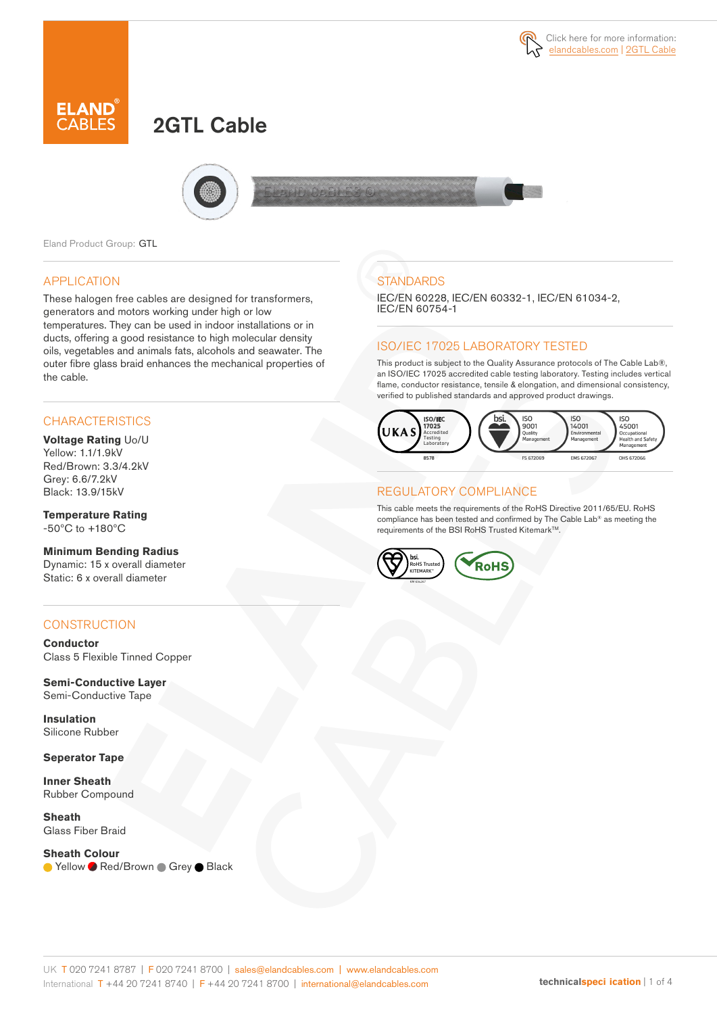# 2GTL Cable



Eland Product Group: GTL

#### APPLICATION

These halogen free cables are designed for transformers, generators and motors working under high or low temperatures. They can be used in indoor installations or in ducts, offering a good resistance to high molecular density oils, vegetables and animals fats, alcohols and seawater. The outer fibre glass braid enhances the mechanical properties of the cable.

#### **CHARACTERISTICS**

#### **Voltage Rating** Uo/U Yellow: 1.1/1.9kV Red/Brown: 3.3/4.2kV Grey: 6.6/7.2kV Black: 13.9/15kV

**Temperature Rating** -50ºC to +180ºC

**Minimum Bending Radius** Dynamic: 15 x overall diameter Static: 6 x overall diameter

### **CONSTRUCTION**

**Conductor** Class 5 Flexible Tinned Copper

**Semi-Conductive Layer** Semi-Conductive Tape

**Insulation** Silicone Rubber

**Seperator Tape**

**Inner Sheath** Rubber Compound

**Sheath** Glass Fiber Braid

#### **Sheath Colour**

● Yellow ● Red/Brown ● Grey ● Black

## **STANDARDS**

IEC/EN 60228, IEC/EN 60332-1, IEC/EN 61034-2, IEC/EN 60754-1

#### ISO/IEC 17025 LABORATORY TESTED

This product is subject to the Quality Assurance protocols of The Cable Lab®, an ISO/IEC 17025 accredited cable testing laboratory. Testing includes vertical flame, conductor resistance, tensile & elongation, and dimensional consistency, verified to published standards and approved product drawings.



#### REGULATORY COMPLIANCE

This cable meets the requirements of the RoHS Directive 2011/65/EU. RoHS compliance has been tested and confirmed by The Cable Lab® as meeting the requirements of the BSI RoHS Trusted Kitemark™.

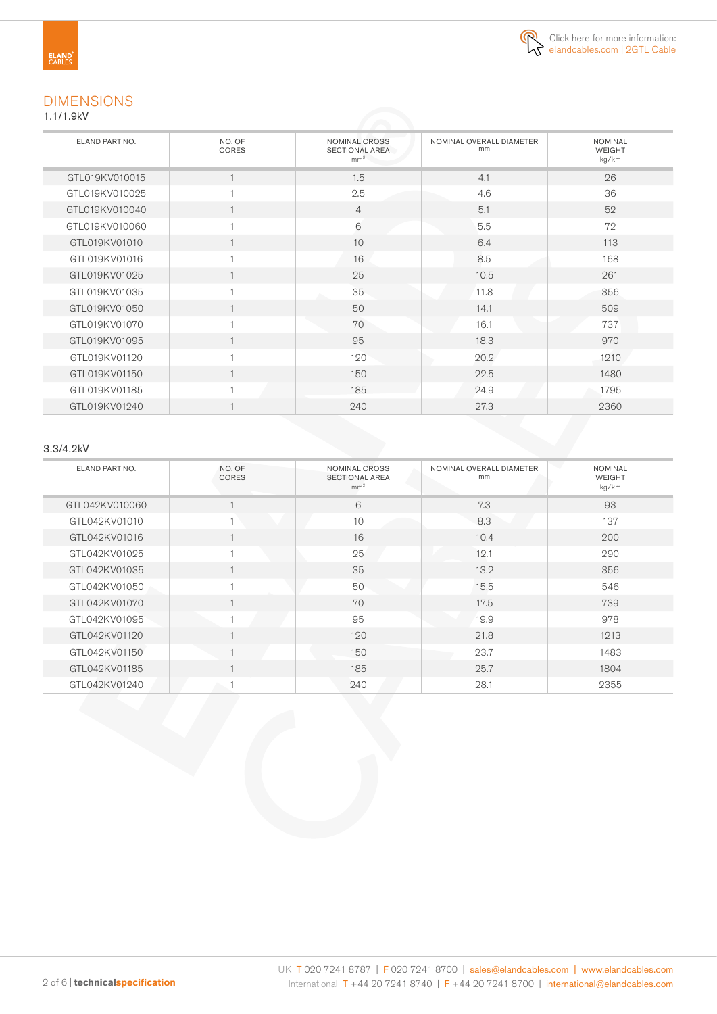

# DIMENSIONS

1.1/1.9kV

| ELAND PART NO. | NO. OF<br><b>CORES</b> | <b>NOMINAL CROSS</b><br><b>SECTIONAL AREA</b><br>mm <sup>2</sup> | NOMINAL OVERALL DIAMETER<br>mm | <b>NOMINAL</b><br><b>WEIGHT</b><br>kg/km |
|----------------|------------------------|------------------------------------------------------------------|--------------------------------|------------------------------------------|
| GTL019KV010015 | 1                      | 1.5                                                              | 4.1                            | 26                                       |
| GTL019KV010025 |                        | 2.5                                                              | 4.6                            | 36                                       |
| GTL019KV010040 | 1                      | $\overline{4}$                                                   | 5.1                            | 52                                       |
| GTL019KV010060 | 1                      | 6                                                                | 5.5                            | 72                                       |
| GTL019KV01010  | $\mathbf{1}$           | 10                                                               | 6.4                            | 113                                      |
| GTL019KV01016  | 1                      | 16                                                               | 8.5                            | 168                                      |
| GTL019KV01025  | $\mathbf{1}$           | 25                                                               | 10.5                           | 261                                      |
| GTL019KV01035  | $\mathbf{1}$           | 35                                                               | 11.8                           | 356                                      |
| GTL019KV01050  | 1                      | 50                                                               | 14.1                           | 509                                      |
| GTL019KV01070  | 1                      | 70                                                               | 16.1                           | 737                                      |
| GTL019KV01095  | $\mathbf{1}$           | 95                                                               | 18.3                           | 970                                      |
| GTL019KV01120  |                        | 120                                                              | 20.2                           | 1210                                     |
| GTL019KV01150  | 1                      | 150                                                              | 22.5                           | 1480                                     |
| GTL019KV01185  |                        | 185                                                              | 24.9                           | 1795                                     |
| GTL019KV01240  |                        | 240                                                              | 27.3                           | 2360                                     |

#### 3.3/4.2kV

| ELAND PART NO. | NO. OF<br><b>CORES</b> | NOMINAL CROSS<br><b>SECTIONAL AREA</b><br>mm <sup>2</sup> | NOMINAL OVERALL DIAMETER<br>mm | <b>NOMINAL</b><br><b>WEIGHT</b><br>kg/km |
|----------------|------------------------|-----------------------------------------------------------|--------------------------------|------------------------------------------|
| GTL042KV010060 |                        | 6                                                         | 7.3                            | 93                                       |
| GTL042KV01010  |                        | 10                                                        | 8.3                            | 137                                      |
| GTL042KV01016  |                        | 16                                                        | 10.4                           | 200                                      |
| GTL042KV01025  |                        | 25                                                        | 12.1                           | 290                                      |
| GTL042KV01035  |                        | 35                                                        | 13.2                           | 356                                      |
| GTL042KV01050  | H,                     | 50                                                        | 15.5                           | 546                                      |
| GTL042KV01070  |                        | 70                                                        | 17.5                           | 739                                      |
| GTL042KV01095  |                        | 95                                                        | 19.9                           | 978                                      |
| GTL042KV01120  |                        | 120                                                       | 21.8                           | 1213                                     |
| GTL042KV01150  |                        | 150                                                       | 23.7                           | 1483                                     |
| GTL042KV01185  |                        | 185                                                       | 25.7                           | 1804                                     |
| GTL042KV01240  | $\sim$ 1               | 240                                                       | 28.1                           | 2355                                     |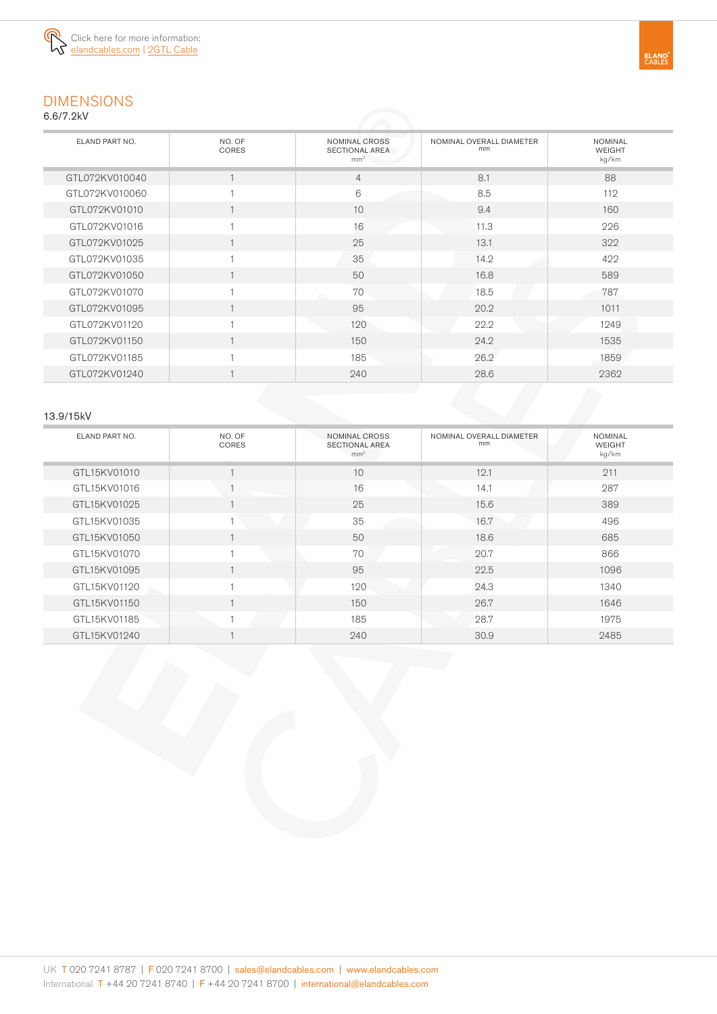

# DIMENSIONS

6.6/7.2kV

| ELAND PART NO. | NO. OF<br><b>CORES</b> | NOMINAL CROSS<br><b>SECTIONAL AREA</b><br>mm <sup>2</sup> | NOMINAL OVERALL DIAMETER<br>mm | <b>NOMINAL</b><br><b>WEIGHT</b><br>kg/km |
|----------------|------------------------|-----------------------------------------------------------|--------------------------------|------------------------------------------|
| GTL072KV010040 |                        | $\overline{4}$                                            | 8.1                            | 88                                       |
| GTL072KV010060 |                        | 6                                                         | 8.5                            | 112                                      |
| GTL072KV01010  |                        | 10                                                        | 9.4                            | 160                                      |
| GTL072KV01016  |                        | 16                                                        | 11.3                           | 226                                      |
| GTL072KV01025  |                        | 25                                                        | 13.1                           | 322                                      |
| GTL072KV01035  |                        | 35                                                        | 14.2                           | 422                                      |
| GTL072KV01050  |                        | 50                                                        | 16.8                           | 589                                      |
| GTL072KV01070  |                        | 70                                                        | 18.5                           | 787                                      |
| GTL072KV01095  |                        | 95                                                        | 20.2                           | 1011                                     |
| GTL072KV01120  |                        | 120                                                       | 22.2                           | 1249                                     |
| GTL072KV01150  |                        | 150                                                       | 24.2                           | 1535                                     |
| GTL072KV01185  |                        | 185                                                       | 26.2                           | 1859                                     |
| GTL072KV01240  |                        | 240                                                       | 28.6                           | 2362                                     |

#### 13.9/15kV

| ELAND PART NO. | NO. OF<br>CORES | NOMINAL CROSS<br><b>SECTIONAL AREA</b><br>mm <sup>2</sup> | NOMINAL OVERALL DIAMETER<br>mm | <b>NOMINAL</b><br><b>WEIGHT</b><br>kg/km |
|----------------|-----------------|-----------------------------------------------------------|--------------------------------|------------------------------------------|
| GTL15KV01010   |                 | 10                                                        | 12.1                           | 211                                      |
| GTL15KV01016   |                 | 16                                                        | 14.1                           | 287                                      |
| GTL15KV01025   |                 | 25                                                        | 15.6                           | 389                                      |
| GTL15KV01035   |                 | 35                                                        | 16.7                           | 496                                      |
| GTL15KV01050   |                 | 50                                                        | 18.6                           | 685                                      |
| GTL15KV01070   |                 | 70                                                        | 20.7                           | 866                                      |
| GTL15KV01095   |                 | 95                                                        | 22.5                           | 1096                                     |
| GTL15KV01120   |                 | 120                                                       | 24.3                           | 1340                                     |
| GTL15KV01150   |                 | 150                                                       | 26.7                           | 1646                                     |
| GTL15KV01185   |                 | 185                                                       | 28.7                           | 1975                                     |
| GTL15KV01240   |                 | 240                                                       | 30.9                           | 2485                                     |